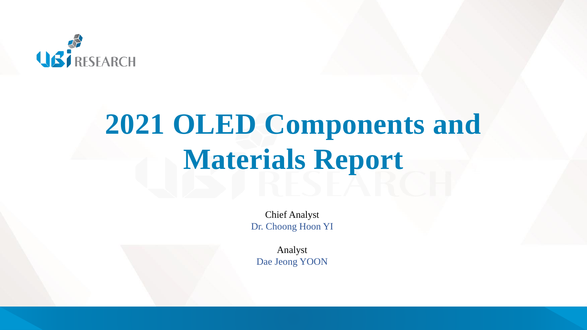

# **2021 OLED Components and Materials Report**

Chief Analyst Dr. Choong Hoon YI

Analyst Dae Jeong YOON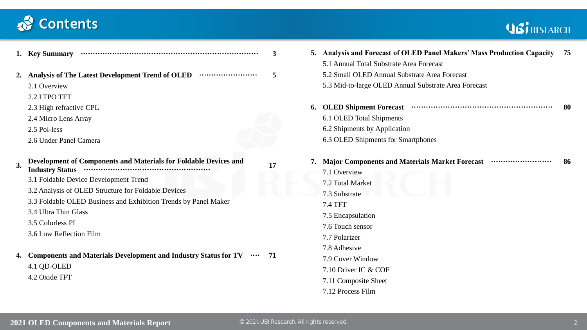# *Contents*

# USI RESEARCH

| 1. Key Summary                                                                                                                                                                                                                                                                                                                                                                                                                                                                            | 3         | 5. Analysis and Forecast of OLED Panel Makers' Mass Production Capacity<br>- 75<br>5.1 Annual Total Substrate Area Forecast                                                                                                                                                                        |
|-------------------------------------------------------------------------------------------------------------------------------------------------------------------------------------------------------------------------------------------------------------------------------------------------------------------------------------------------------------------------------------------------------------------------------------------------------------------------------------------|-----------|----------------------------------------------------------------------------------------------------------------------------------------------------------------------------------------------------------------------------------------------------------------------------------------------------|
| Analysis of The Latest Development Trend of OLED<br>2.1 Overview<br>2.2 LTPO TFT                                                                                                                                                                                                                                                                                                                                                                                                          | 5         | 5.2 Small OLED Annual Substrate Area Forecast<br>5.3 Mid-to-large OLED Annual Substrate Area Forecast                                                                                                                                                                                              |
| 2.3 High refractive CPL<br>2.4 Micro Lens Array<br>2.5 Pol-less<br>2.6 Under Panel Camera                                                                                                                                                                                                                                                                                                                                                                                                 |           | 6. OLED Shipment Forecast www.communication.com/<br>-80<br>6.1 OLED Total Shipments<br>6.2 Shipments by Application<br>6.3 OLED Shipments for Smartphones                                                                                                                                          |
| Development of Components and Materials for Foldable Devices and<br>3.<br><b>Industry Status</b><br>3.1 Foldable Device Development Trend<br>3.2 Analysis of OLED Structure for Foldable Devices<br>3.3 Foldable OLED Business and Exhibition Trends by Panel Maker<br>3.4 Ultra Thin Glass<br>3.5 Colorless PI<br>3.6 Low Reflection Film<br><b>Components and Materials Development and Industry Status for TV</b><br>$\bullet \bullet \bullet \bullet$<br>4.1 QD-OLED<br>4.2 Oxide TFT | 17<br>-71 | 7. Major Components and Materials Market Forecast<br>-86<br>7.1 Overview<br>7.2 Total Market<br>7.3 Substrate<br><b>7.4 TFT</b><br>7.5 Encapsulation<br>7.6 Touch sensor<br>7.7 Polarizer<br>7.8 Adhesive<br>7.9 Cover Window<br>7.10 Driver IC & COF<br>7.11 Composite Sheet<br>7.12 Process Film |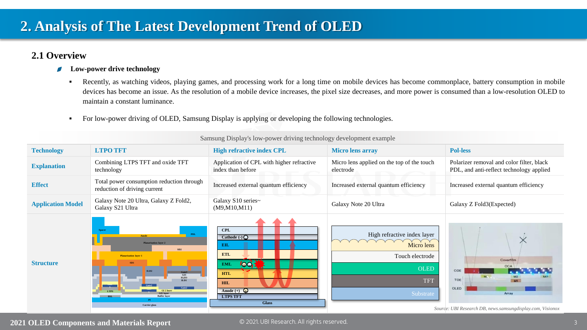## **2.1 Overview**

- **Low-power drive technology**  $\overline{\phantom{a}}$ 
	- Recently, as watching videos, playing games, and processing work for a long time on mobile devices has become commonplace, battery consumption in mobile devices has become an issue. As the resolution of a mobile device increases, the pixel size decreases, and more power is consumed than a low-resolution OLED to maintain a constant luminance.
	- **•** For low-power driving of OLED, Samsung Display is applying or developing the following technologies.

| <b>Technology</b>        | <b>LTPO TFT</b>                                                                                                                                                                                                                                                                                         | <b>High refractive index CPL</b>                                                                                                                                                                                    | <b>Micro lens array</b>                                                                                | <b>Pol-less</b>                                                                                               |  |
|--------------------------|---------------------------------------------------------------------------------------------------------------------------------------------------------------------------------------------------------------------------------------------------------------------------------------------------------|---------------------------------------------------------------------------------------------------------------------------------------------------------------------------------------------------------------------|--------------------------------------------------------------------------------------------------------|---------------------------------------------------------------------------------------------------------------|--|
| <b>Explanation</b>       | Combining LTPS TFT and oxide TFT<br>technology                                                                                                                                                                                                                                                          | Application of CPL with higher refractive<br>index than before                                                                                                                                                      | Micro lens applied on the top of the touch<br>electrode                                                | Polarizer removal and color filter, black<br>PDL, and anti-reflect technology applied                         |  |
| <b>Effect</b>            | Total power consumption reduction through<br>reduction of driving current                                                                                                                                                                                                                               | Increased external quantum efficiency                                                                                                                                                                               | Increased external quantum efficiency                                                                  | Increased external quantum efficiency                                                                         |  |
| <b>Application Model</b> | Galaxy Note 20 Ultra, Galaxy Z Fold2,<br>Galaxy S21 Ultra                                                                                                                                                                                                                                               | Galaxy S10 series~<br>(M9, M10, M11)                                                                                                                                                                                | Galaxy Note 20 Ultra                                                                                   | Galaxy Z Fold3(Expected)                                                                                      |  |
| <b>Structure</b>         | PDL<br><b>Anode</b><br><b>Planarization layer 2</b><br>SD2<br><b>Planarization layer 1</b><br>SD1<br>Gate3<br>$\begin{array}{c}\n\overline{\text{G13}}\\ \text{IGZO}\\ \text{ILD1}\end{array}$<br>Gate2<br>GI 2 layer<br><b>LTPS</b><br><b>GII laver</b><br><b>Buffer laver</b><br>BSL<br>Carrier glass | <b>CPL</b><br>Cathode $\left(\cdot\right)$ $\bigcirc$<br>EIL<br><b>ETL</b><br>$\overline{1}$<br><b>EML</b><br><b>HTL</b><br><b>HIL</b><br>Anode $(+)$ $\mathbf{\mathbf{\Omega}}$<br><b>LTPS TFT</b><br><b>Glass</b> | High refractive index layer<br>Micro lens<br>Touch electrode<br><b>OLED</b><br><b>TFT</b><br>Substrate | Coverfilm<br>OCA<br>COE<br>TOE<br>OLED<br>Array<br>Source: UBI Research DB, news.samsungdisplay.com, Visionox |  |

Samsung Display's low-power driving technology development example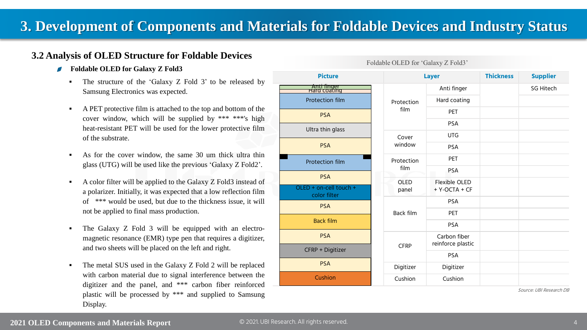## **3. Development of Components and Materials for Foldable Devices and Industry Status**

## **3.2 Analysis of OLED Structure for Foldable Devices**

- **Foldable OLED for Galaxy Z Fold3**
	- The structure of the 'Galaxy  $Z$  Fold  $3$ ' to be released by Samsung Electronics was expected.
	- A PET protective film is attached to the top and bottom of the cover window, which will be supplied by \*\*\* \*\*\*'s high heat-resistant PET will be used for the lower protective film of the substrate.
	- As for the cover window, the same 30 um thick ultra thin glass (UTG) will be used like the previous 'Galaxy Z Fold2'.
	- A color filter will be applied to the Galaxy Z Fold3 instead of a polarizer. Initially, it was expected that a low reflection film of \*\*\* would be used, but due to the thickness issue, it will not be applied to final mass production.
	- The Galaxy Z Fold 3 will be equipped with an electromagnetic resonance (EMR) type pen that requires a digitizer, and two sheets will be placed on the left and right.
	- The metal SUS used in the Galaxy Z Fold 2 will be replaced with carbon material due to signal interference between the digitizer and the panel, and \*\*\* carbon fiber reinforced plastic will be processed by \*\*\* and supplied to Samsung Display.

| <b>Picture</b>                                       | <b>Layer</b>             |                                   | <b>Thickness</b> | <b>Supplier</b>  |
|------------------------------------------------------|--------------------------|-----------------------------------|------------------|------------------|
| <u>Anti finger</u><br>Hard coating                   | Protection<br>film       | Anti finger                       |                  | <b>SG Hitech</b> |
| <b>Protection film</b>                               |                          | Hard coating                      |                  |                  |
| <b>PSA</b>                                           |                          | PET                               |                  |                  |
| Ultra thin glass                                     |                          | <b>PSA</b>                        |                  |                  |
|                                                      | Cover<br>window          | <b>UTG</b>                        |                  |                  |
| <b>PSA</b>                                           |                          | <b>PSA</b>                        |                  |                  |
| Protection film                                      | Protection<br>film       | PET                               |                  |                  |
|                                                      |                          | PSA                               |                  |                  |
| <b>PSA</b><br>OLED + on-cell touch +<br>color filter | OLED<br>panel            | Flexible OLED<br>+ Y-OCTA + CF    |                  |                  |
| <b>PSA</b>                                           | Back film                | <b>PSA</b>                        |                  |                  |
|                                                      |                          | PET                               |                  |                  |
| <b>Back film</b>                                     |                          | PSA                               |                  |                  |
| <b>PSA</b>                                           | <b>CFRP</b><br>Digitizer | Carbon fiber<br>reinforce plastic |                  |                  |
| CFRP + Digitizer                                     |                          | <b>PSA</b>                        |                  |                  |
| <b>PSA</b>                                           |                          | Digitizer                         |                  |                  |
| Cushion                                              | Cushion                  | Cushion                           |                  |                  |

#### Foldable OLED for 'Galaxy Z Fold3'

Source: UBI Research DB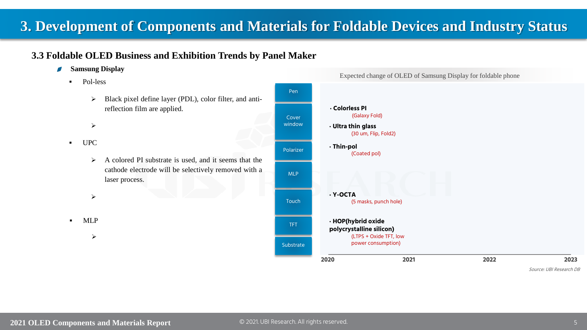# **3. Development of Components and Materials for Foldable Devices and Industry Status**

## **3.3 Foldable OLED Business and Exhibition Trends by Panel Maker**

- $\blacksquare$ **Samsung Display**
	- Pol-less
		- ➢ Black pixel define layer (PDL), color filter, and antireflection film are applied.
		- ➢
	- UPC
		- ➢ A colored PI substrate is used, and it seems that the cathode electrode will be selectively removed with a laser process.
		- ➢

**MLP** 

➢



## **2020 2021 2022 2023 · HOP(hybrid oxide polycrystalline silicon)** (LTPS + Oxide TFT, low power consumption) **· Y-OCTA** (5 masks, punch hole)

Source: UBI Research DB

TFT

**Substrate** 

**Touch** 

MLP

Polarizer

Cover window

Pen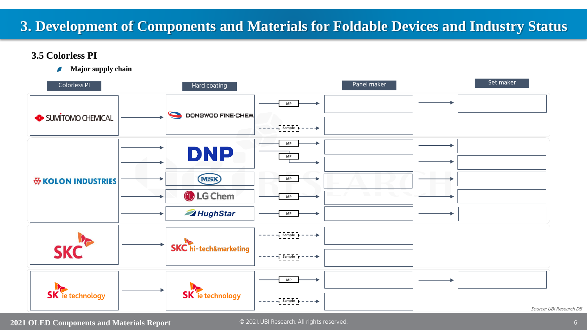# **3. Development of Components and Materials for Foldable Devices and Industry Status**

## **3.5 Colorless PI**

 $\blacksquare$ **Major supply chain**

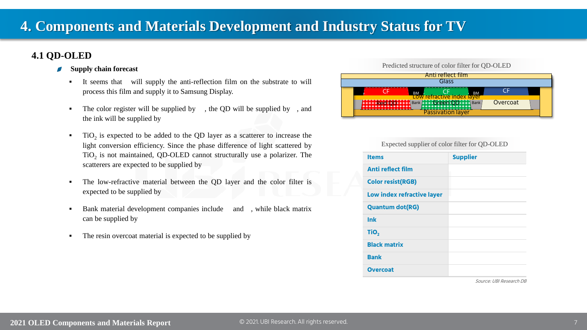## **4.1 QD-OLED**

- **Supply chain forecast**  $\overline{\phantom{a}}$ 
	- It seems that will supply the anti-reflection film on the substrate to will process this film and supply it to Samsung Display.
	- The color register will be supplied by  $\theta$ , the QD will be supplied by , and the ink will be supplied by
	- $\blacksquare$  TiO<sub>2</sub> is expected to be added to the QD layer as a scatterer to increase the light conversion efficiency. Since the phase difference of light scattered by  $TiO<sub>2</sub>$  is not maintained, QD-OLED cannot structurally use a polarizer. The scatterers are expected to be supplied by
	- The low-refractive material between the QD layer and the color filter is expected to be supplied by
	- Bank material development companies include and, while black matrix can be supplied by
	- **•** The resin overcoat material is expected to be supplied by

#### Predicted structure of color filter for QD-OLED



#### Expected supplier of color filter for QD-OLED

| <b>Items</b>               | <b>Supplier</b> |
|----------------------------|-----------------|
| <b>Anti reflect film</b>   |                 |
| <b>Color resist(RGB)</b>   |                 |
| Low index refractive layer |                 |
| <b>Quantum dot(RG)</b>     |                 |
| <b>Ink</b>                 |                 |
| TiO <sub>2</sub>           |                 |
| <b>Black matrix</b>        |                 |
| <b>Bank</b>                |                 |
| <b>Overcoat</b>            |                 |

Source: UBI Research DB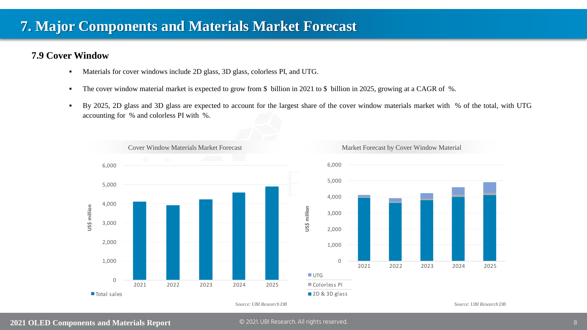# **7. Major Components and Materials Market Forecast**

## **7.9 Cover Window**

- Materials for cover windows include 2D glass, 3D glass, colorless PI, and UTG.
- The cover window material market is expected to grow from \$ billion in 2021 to \$ billion in 2025, growing at a CAGR of %.
- By 2025, 2D glass and 3D glass are expected to account for the largest share of the cover window materials market with % of the total, with UTG accounting for % and colorless PI with %.